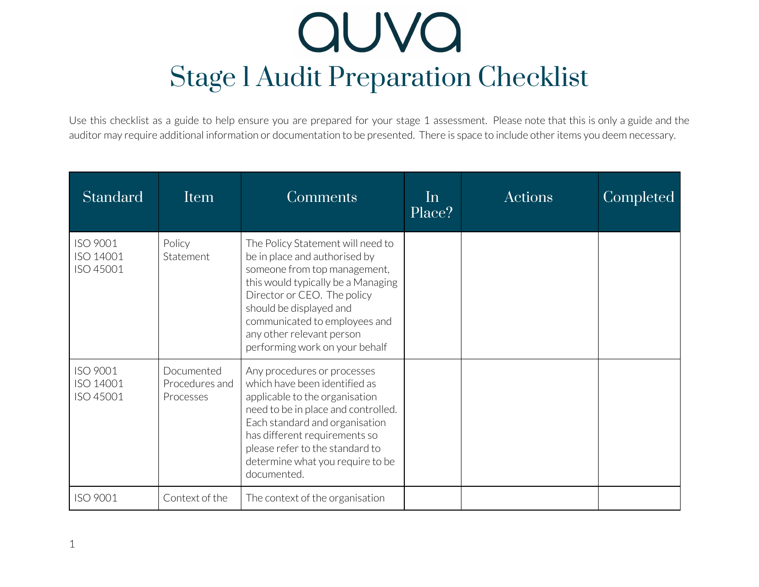Use this checklist as a guide to help ensure you are prepared for your stage 1 assessment. Please note that this is only a guide and the auditor may require additional information or documentation to be presented. There is space to include other items you deem necessary.

| <b>Standard</b>                    | Item                                      | Comments                                                                                                                                                                                                                                                                                           | In<br>Place? | Actions | <b>Completed</b> |
|------------------------------------|-------------------------------------------|----------------------------------------------------------------------------------------------------------------------------------------------------------------------------------------------------------------------------------------------------------------------------------------------------|--------------|---------|------------------|
| ISO 9001<br>ISO 14001<br>ISO 45001 | Policy<br>Statement                       | The Policy Statement will need to<br>be in place and authorised by<br>someone from top management,<br>this would typically be a Managing<br>Director or CEO. The policy<br>should be displayed and<br>communicated to employees and<br>any other relevant person<br>performing work on your behalf |              |         |                  |
| ISO 9001<br>ISO 14001<br>ISO 45001 | Documented<br>Procedures and<br>Processes | Any procedures or processes<br>which have been identified as<br>applicable to the organisation<br>need to be in place and controlled.<br>Each standard and organisation<br>has different requirements so<br>please refer to the standard to<br>determine what you require to be<br>documented.     |              |         |                  |
| ISO 9001                           | Context of the                            | The context of the organisation                                                                                                                                                                                                                                                                    |              |         |                  |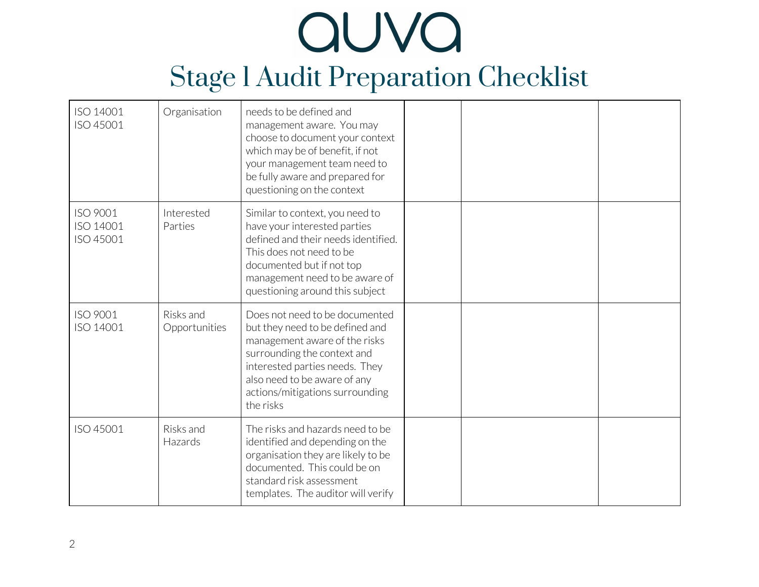| ISO 14001<br>ISO 45001             | Organisation               | needs to be defined and<br>management aware. You may<br>choose to document your context<br>which may be of benefit, if not<br>your management team need to<br>be fully aware and prepared for<br>questioning on the context                         |  |  |
|------------------------------------|----------------------------|-----------------------------------------------------------------------------------------------------------------------------------------------------------------------------------------------------------------------------------------------------|--|--|
| ISO 9001<br>ISO 14001<br>ISO 45001 | Interested<br>Parties      | Similar to context, you need to<br>have your interested parties<br>defined and their needs identified.<br>This does not need to be<br>documented but if not top<br>management need to be aware of<br>questioning around this subject                |  |  |
| ISO 9001<br>ISO 14001              | Risks and<br>Opportunities | Does not need to be documented<br>but they need to be defined and<br>management aware of the risks<br>surrounding the context and<br>interested parties needs. They<br>also need to be aware of any<br>actions/mitigations surrounding<br>the risks |  |  |
| ISO 45001                          | Risks and<br>Hazards       | The risks and hazards need to be<br>identified and depending on the<br>organisation they are likely to be<br>documented. This could be on<br>standard risk assessment<br>templates. The auditor will verify                                         |  |  |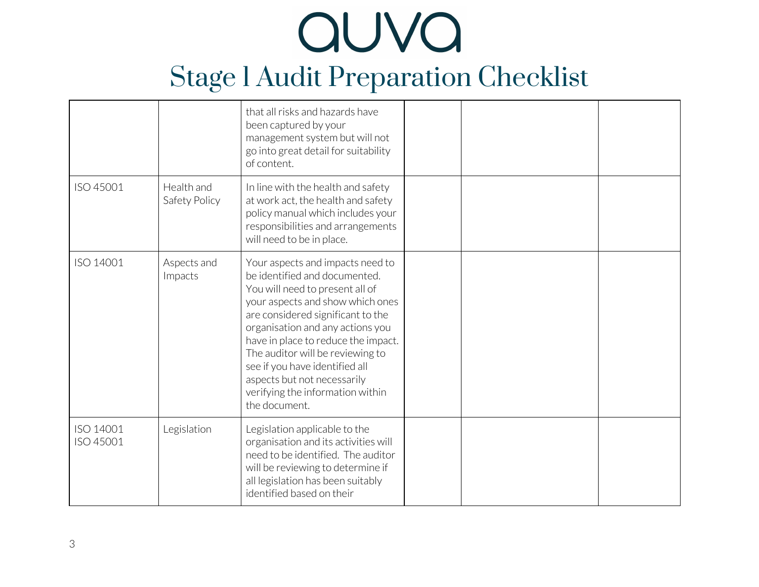|                        |                             | that all risks and hazards have<br>been captured by your<br>management system but will not<br>go into great detail for suitability<br>of content.                                                                                                                                                                                                                                                                  |  |  |
|------------------------|-----------------------------|--------------------------------------------------------------------------------------------------------------------------------------------------------------------------------------------------------------------------------------------------------------------------------------------------------------------------------------------------------------------------------------------------------------------|--|--|
| ISO 45001              | Health and<br>Safety Policy | In line with the health and safety<br>at work act, the health and safety<br>policy manual which includes your<br>responsibilities and arrangements<br>will need to be in place.                                                                                                                                                                                                                                    |  |  |
| ISO 14001              | Aspects and<br>Impacts      | Your aspects and impacts need to<br>be identified and documented.<br>You will need to present all of<br>your aspects and show which ones<br>are considered significant to the<br>organisation and any actions you<br>have in place to reduce the impact.<br>The auditor will be reviewing to<br>see if you have identified all<br>aspects but not necessarily<br>verifying the information within<br>the document. |  |  |
| ISO 14001<br>ISO 45001 | Legislation                 | Legislation applicable to the<br>organisation and its activities will<br>need to be identified. The auditor<br>will be reviewing to determine if<br>all legislation has been suitably<br>identified based on their                                                                                                                                                                                                 |  |  |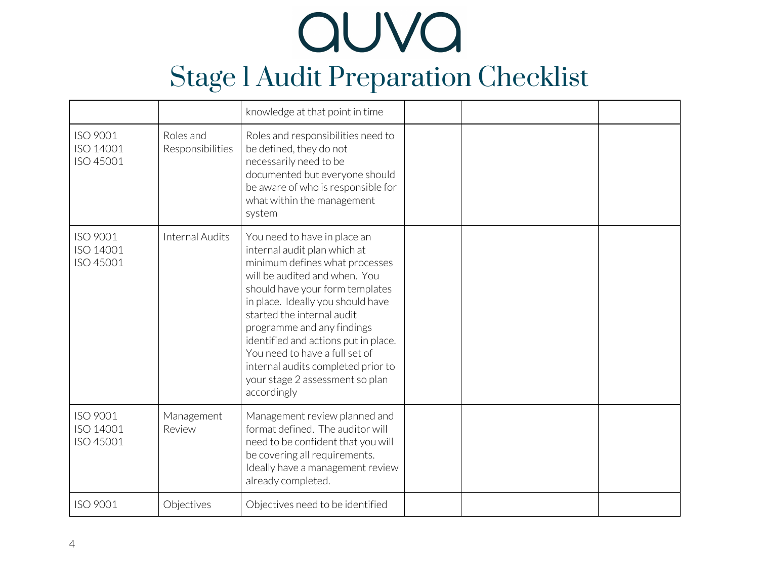|                                    |                               | knowledge at that point in time                                                                                                                                                                                                                                                                                                                                                                                                       |  |  |
|------------------------------------|-------------------------------|---------------------------------------------------------------------------------------------------------------------------------------------------------------------------------------------------------------------------------------------------------------------------------------------------------------------------------------------------------------------------------------------------------------------------------------|--|--|
| ISO 9001<br>ISO 14001<br>ISO 45001 | Roles and<br>Responsibilities | Roles and responsibilities need to<br>be defined, they do not<br>necessarily need to be<br>documented but everyone should<br>be aware of who is responsible for<br>what within the management<br>system                                                                                                                                                                                                                               |  |  |
| ISO 9001<br>ISO 14001<br>ISO 45001 | <b>Internal Audits</b>        | You need to have in place an<br>internal audit plan which at<br>minimum defines what processes<br>will be audited and when. You<br>should have your form templates<br>in place. Ideally you should have<br>started the internal audit<br>programme and any findings<br>identified and actions put in place.<br>You need to have a full set of<br>internal audits completed prior to<br>your stage 2 assessment so plan<br>accordingly |  |  |
| ISO 9001<br>ISO 14001<br>ISO 45001 | Management<br>Review          | Management review planned and<br>format defined. The auditor will<br>need to be confident that you will<br>be covering all requirements.<br>Ideally have a management review<br>already completed.                                                                                                                                                                                                                                    |  |  |
| ISO 9001                           | Objectives                    | Objectives need to be identified                                                                                                                                                                                                                                                                                                                                                                                                      |  |  |